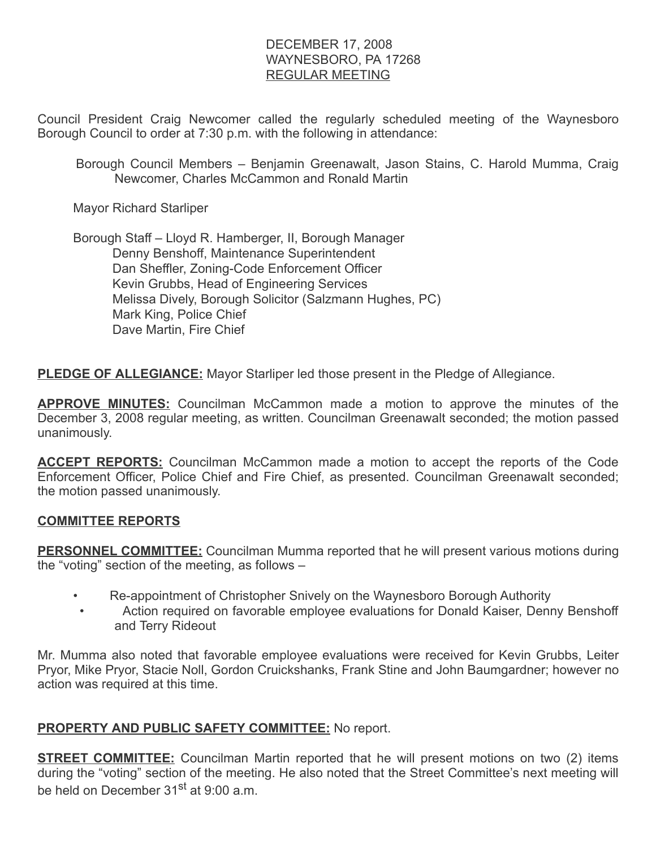## DECEMBER 17, 2008 WAYNESBORO, PA 17268 REGULAR MEETING

Council President Craig Newcomer called the regularly scheduled meeting of the Waynesboro Borough Council to order at 7:30 p.m. with the following in attendance:

Borough Council Members – Benjamin Greenawalt, Jason Stains, C. Harold Mumma, Craig Newcomer, Charles McCammon and Ronald Martin

Mayor Richard Starliper

 Borough Staff – Lloyd R. Hamberger, II, Borough Manager Denny Benshoff, Maintenance Superintendent Dan Sheffler, Zoning-Code Enforcement Officer Kevin Grubbs, Head of Engineering Services Melissa Dively, Borough Solicitor (Salzmann Hughes, PC) Mark King, Police Chief Dave Martin, Fire Chief

**PLEDGE OF ALLEGIANCE:** Mayor Starliper led those present in the Pledge of Allegiance.

**APPROVE MINUTES:** Councilman McCammon made a motion to approve the minutes of the December 3, 2008 regular meeting, as written. Councilman Greenawalt seconded; the motion passed unanimously.

**ACCEPT REPORTS:** Councilman McCammon made a motion to accept the reports of the Code Enforcement Officer, Police Chief and Fire Chief, as presented. Councilman Greenawalt seconded; the motion passed unanimously.

## COMMITTEE REPORTS

**PERSONNEL COMMITTEE:** Councilman Mumma reported that he will present various motions during the "voting" section of the meeting, as follows –

- Re-appointment of Christopher Snively on the Waynesboro Borough Authority
	- Action required on favorable employee evaluations for Donald Kaiser, Denny Benshoff and Terry Rideout

Mr. Mumma also noted that favorable employee evaluations were received for Kevin Grubbs, Leiter Pryor, Mike Pryor, Stacie Noll, Gordon Cruickshanks, Frank Stine and John Baumgardner; however no action was required at this time.

## PROPERTY AND PUBLIC SAFETY COMMITTEE: No report.

**STREET COMMITTEE:** Councilman Martin reported that he will present motions on two (2) items during the "voting" section of the meeting. He also noted that the Street Committee's next meeting will be held on December 31<sup>st</sup> at 9:00 a.m.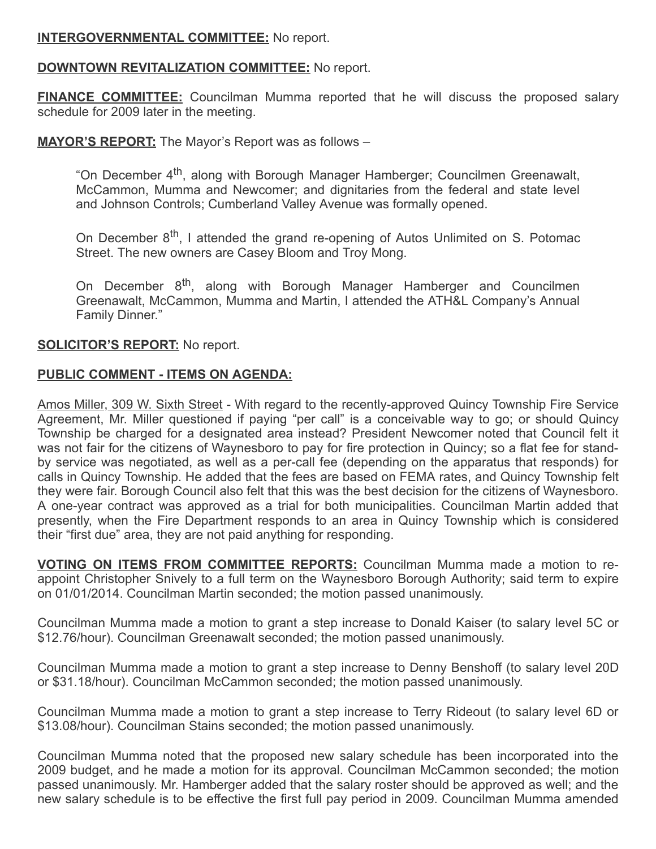## INTERGOVERNMENTAL COMMITTEE: No report.

#### DOWNTOWN REVITALIZATION COMMITTEE: No report.

**FINANCE COMMITTEE:** Councilman Mumma reported that he will discuss the proposed salary schedule for 2009 later in the meeting.

#### MAYOR'S REPORT: The Mayor's Report was as follows -

"On December 4<sup>th</sup>, along with Borough Manager Hamberger; Councilmen Greenawalt, McCammon, Mumma and Newcomer; and dignitaries from the federal and state level and Johnson Controls; Cumberland Valley Avenue was formally opened.

On December 8<sup>th</sup>, I attended the grand re-opening of Autos Unlimited on S. Potomac Street. The new owners are Casey Bloom and Troy Mong.

On December 8<sup>th</sup>, along with Borough Manager Hamberger and Councilmen Greenawalt, McCammon, Mumma and Martin, I attended the ATH&L Company's Annual Family Dinner."

#### **SOLICITOR'S REPORT:** No report.

#### PUBLIC COMMENT - ITEMS ON AGENDA:

Amos Miller, 309 W. Sixth Street - With regard to the recently-approved Quincy Township Fire Service Agreement, Mr. Miller questioned if paying "per call" is a conceivable way to go; or should Quincy Township be charged for a designated area instead? President Newcomer noted that Council felt it was not fair for the citizens of Waynesboro to pay for fire protection in Quincy; so a flat fee for standby service was negotiated, as well as a per-call fee (depending on the apparatus that responds) for calls in Quincy Township. He added that the fees are based on FEMA rates, and Quincy Township felt they were fair. Borough Council also felt that this was the best decision for the citizens of Waynesboro. A one-year contract was approved as a trial for both municipalities. Councilman Martin added that presently, when the Fire Department responds to an area in Quincy Township which is considered their "first due" area, they are not paid anything for responding.

VOTING ON ITEMS FROM COMMITTEE REPORTS: Councilman Mumma made a motion to reappoint Christopher Snively to a full term on the Waynesboro Borough Authority; said term to expire on 01/01/2014. Councilman Martin seconded; the motion passed unanimously.

Councilman Mumma made a motion to grant a step increase to Donald Kaiser (to salary level 5C or \$12.76/hour). Councilman Greenawalt seconded; the motion passed unanimously.

Councilman Mumma made a motion to grant a step increase to Denny Benshoff (to salary level 20D or \$31.18/hour). Councilman McCammon seconded; the motion passed unanimously.

Councilman Mumma made a motion to grant a step increase to Terry Rideout (to salary level 6D or \$13.08/hour). Councilman Stains seconded; the motion passed unanimously.

Councilman Mumma noted that the proposed new salary schedule has been incorporated into the 2009 budget, and he made a motion for its approval. Councilman McCammon seconded; the motion passed unanimously. Mr. Hamberger added that the salary roster should be approved as well; and the new salary schedule is to be effective the first full pay period in 2009. Councilman Mumma amended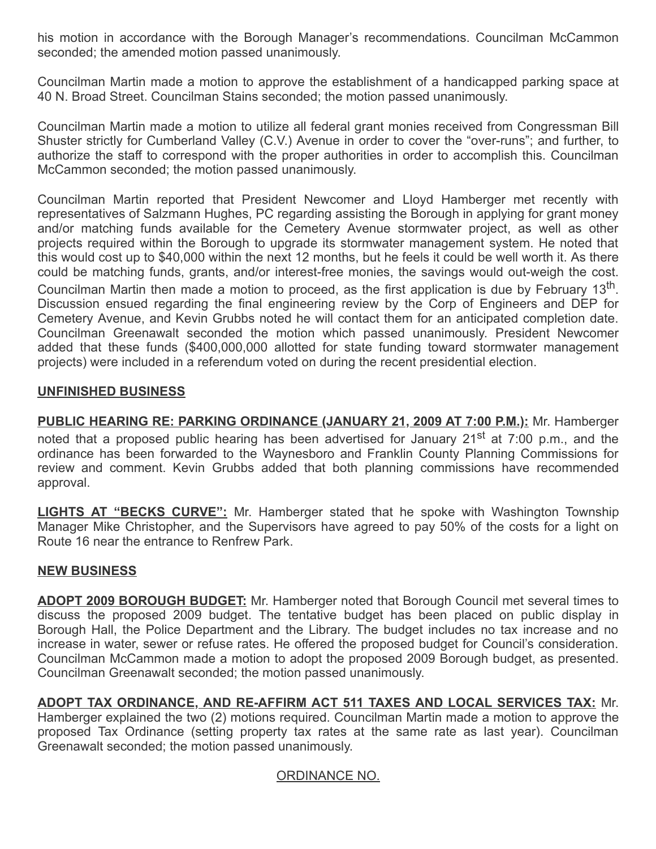his motion in accordance with the Borough Manager's recommendations. Councilman McCammon seconded; the amended motion passed unanimously.

Councilman Martin made a motion to approve the establishment of a handicapped parking space at 40 N. Broad Street. Councilman Stains seconded; the motion passed unanimously.

Councilman Martin made a motion to utilize all federal grant monies received from Congressman Bill Shuster strictly for Cumberland Valley (C.V.) Avenue in order to cover the "over-runs"; and further, to authorize the staff to correspond with the proper authorities in order to accomplish this. Councilman McCammon seconded; the motion passed unanimously.

Councilman Martin reported that President Newcomer and Lloyd Hamberger met recently with representatives of Salzmann Hughes, PC regarding assisting the Borough in applying for grant money and/or matching funds available for the Cemetery Avenue stormwater project, as well as other projects required within the Borough to upgrade its stormwater management system. He noted that this would cost up to \$40,000 within the next 12 months, but he feels it could be well worth it. As there could be matching funds, grants, and/or interest-free monies, the savings would out-weigh the cost. Councilman Martin then made a motion to proceed, as the first application is due by February 13<sup>th</sup>. Discussion ensued regarding the final engineering review by the Corp of Engineers and DEP for Cemetery Avenue, and Kevin Grubbs noted he will contact them for an anticipated completion date. Councilman Greenawalt seconded the motion which passed unanimously. President Newcomer added that these funds (\$400,000,000 allotted for state funding toward stormwater management projects) were included in a referendum voted on during the recent presidential election.

## UNFINISHED BUSINESS

PUBLIC HEARING RE: PARKING ORDINANCE (JANUARY 21, 2009 AT 7:00 P.M.): Mr. Hamberger noted that a proposed public hearing has been advertised for January 21<sup>st</sup> at 7:00 p.m., and the ordinance has been forwarded to the Waynesboro and Franklin County Planning Commissions for review and comment. Kevin Grubbs added that both planning commissions have recommended approval.

LIGHTS AT "BECKS CURVE": Mr. Hamberger stated that he spoke with Washington Township Manager Mike Christopher, and the Supervisors have agreed to pay 50% of the costs for a light on Route 16 near the entrance to Renfrew Park.

## NEW BUSINESS

ADOPT 2009 BOROUGH BUDGET: Mr. Hamberger noted that Borough Council met several times to discuss the proposed 2009 budget. The tentative budget has been placed on public display in Borough Hall, the Police Department and the Library. The budget includes no tax increase and no increase in water, sewer or refuse rates. He offered the proposed budget for Council's consideration. Councilman McCammon made a motion to adopt the proposed 2009 Borough budget, as presented. Councilman Greenawalt seconded; the motion passed unanimously.

# ADOPT TAX ORDINANCE, AND RE-AFFIRM ACT 511 TAXES AND LOCAL SERVICES TAX: Mr.

Hamberger explained the two (2) motions required. Councilman Martin made a motion to approve the proposed Tax Ordinance (setting property tax rates at the same rate as last year). Councilman Greenawalt seconded; the motion passed unanimously.

## ORDINANCE NO.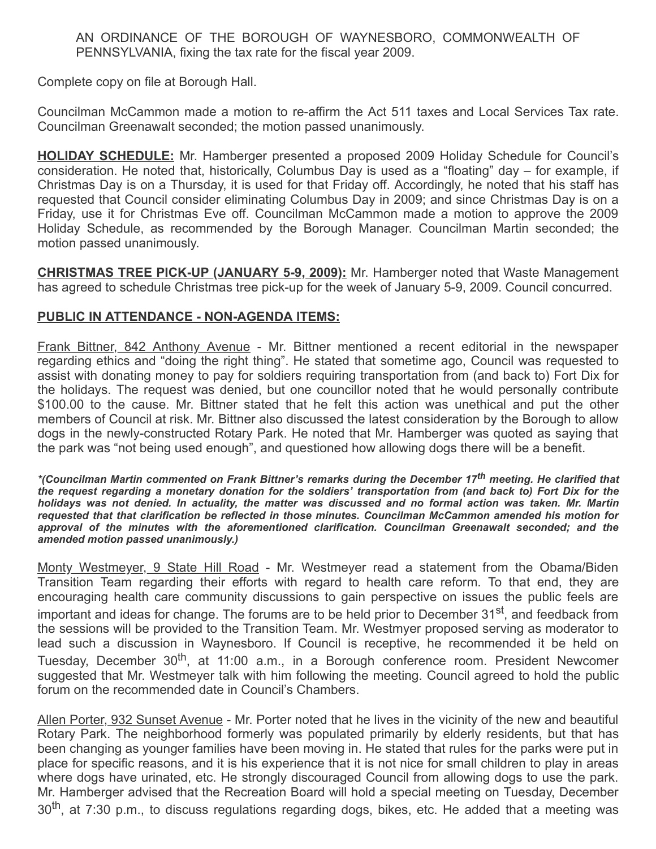AN ORDINANCE OF THE BOROUGH OF WAYNESBORO, COMMONWEALTH OF PENNSYLVANIA, fixing the tax rate for the fiscal year 2009.

Complete copy on file at Borough Hall.

Councilman McCammon made a motion to re-affirm the Act 511 taxes and Local Services Tax rate. Councilman Greenawalt seconded; the motion passed unanimously.

**HOLIDAY SCHEDULE:** Mr. Hamberger presented a proposed 2009 Holiday Schedule for Council's consideration. He noted that, historically, Columbus Day is used as a "floating" day – for example, if Christmas Day is on a Thursday, it is used for that Friday off. Accordingly, he noted that his staff has requested that Council consider eliminating Columbus Day in 2009; and since Christmas Day is on a Friday, use it for Christmas Eve off. Councilman McCammon made a motion to approve the 2009 Holiday Schedule, as recommended by the Borough Manager. Councilman Martin seconded; the motion passed unanimously.

CHRISTMAS TREE PICK-UP (JANUARY 5-9, 2009): Mr. Hamberger noted that Waste Management has agreed to schedule Christmas tree pick-up for the week of January 5-9, 2009. Council concurred.

## PUBLIC IN ATTENDANCE - NON-AGENDA ITEMS:

Frank Bittner, 842 Anthony Avenue - Mr. Bittner mentioned a recent editorial in the newspaper regarding ethics and "doing the right thing". He stated that sometime ago, Council was requested to assist with donating money to pay for soldiers requiring transportation from (and back to) Fort Dix for the holidays. The request was denied, but one councillor noted that he would personally contribute \$100.00 to the cause. Mr. Bittner stated that he felt this action was unethical and put the other members of Council at risk. Mr. Bittner also discussed the latest consideration by the Borough to allow dogs in the newly-constructed Rotary Park. He noted that Mr. Hamberger was quoted as saying that the park was "not being used enough", and questioned how allowing dogs there will be a benefit.

\*(Councilman Martin commented on Frank Bittner's remarks during the December 17<sup>th</sup> meeting. He clarified that the request regarding a monetary donation for the soldiers' transportation from (and back to) Fort Dix for the holidays was not denied. In actuality, the matter was discussed and no formal action was taken. Mr. Martin requested that that clarification be reflected in those minutes. Councilman McCammon amended his motion for approval of the minutes with the aforementioned clarification. Councilman Greenawalt seconded; and the amended motion passed unanimously.)

Monty Westmeyer, 9 State Hill Road - Mr. Westmeyer read a statement from the Obama/Biden Transition Team regarding their efforts with regard to health care reform. To that end, they are encouraging health care community discussions to gain perspective on issues the public feels are important and ideas for change. The forums are to be held prior to December 31<sup>st</sup>, and feedback from the sessions will be provided to the Transition Team. Mr. Westmyer proposed serving as moderator to lead such a discussion in Waynesboro. If Council is receptive, he recommended it be held on Tuesday, December 30<sup>th</sup>, at 11:00 a.m., in a Borough conference room. President Newcomer suggested that Mr. Westmeyer talk with him following the meeting. Council agreed to hold the public forum on the recommended date in Council's Chambers.

Allen Porter, 932 Sunset Avenue - Mr. Porter noted that he lives in the vicinity of the new and beautiful Rotary Park. The neighborhood formerly was populated primarily by elderly residents, but that has been changing as younger families have been moving in. He stated that rules for the parks were put in place for specific reasons, and it is his experience that it is not nice for small children to play in areas where dogs have urinated, etc. He strongly discouraged Council from allowing dogs to use the park. Mr. Hamberger advised that the Recreation Board will hold a special meeting on Tuesday, December 30<sup>th</sup>, at 7:30 p.m., to discuss regulations regarding dogs, bikes, etc. He added that a meeting was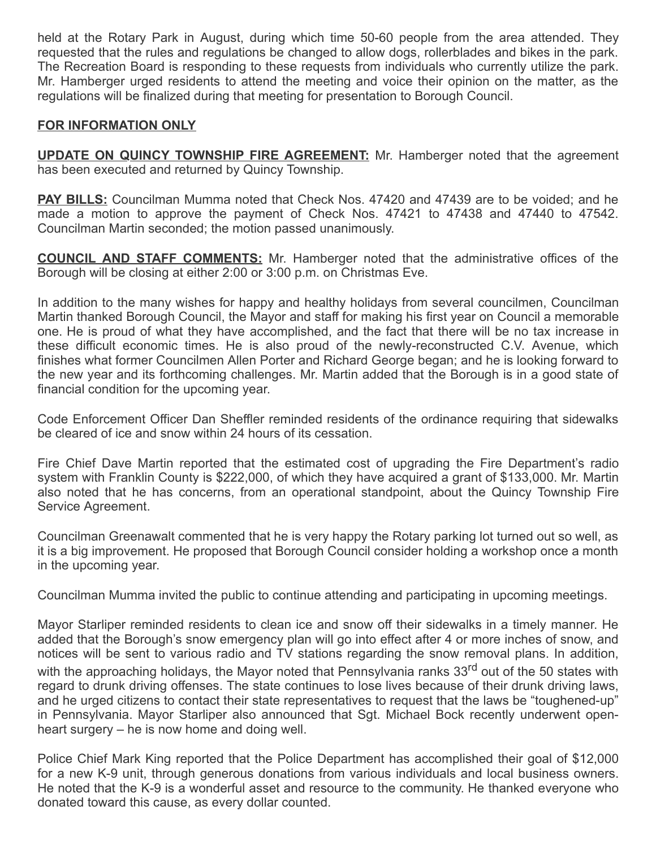held at the Rotary Park in August, during which time 50-60 people from the area attended. They requested that the rules and regulations be changed to allow dogs, rollerblades and bikes in the park. The Recreation Board is responding to these requests from individuals who currently utilize the park. Mr. Hamberger urged residents to attend the meeting and voice their opinion on the matter, as the regulations will be finalized during that meeting for presentation to Borough Council.

## FOR INFORMATION ONLY

UPDATE ON QUINCY TOWNSHIP FIRE AGREEMENT: Mr. Hamberger noted that the agreement has been executed and returned by Quincy Township.

**PAY BILLS:** Councilman Mumma noted that Check Nos. 47420 and 47439 are to be voided; and he made a motion to approve the payment of Check Nos. 47421 to 47438 and 47440 to 47542. Councilman Martin seconded; the motion passed unanimously.

**COUNCIL AND STAFF COMMENTS:** Mr. Hamberger noted that the administrative offices of the Borough will be closing at either 2:00 or 3:00 p.m. on Christmas Eve.

In addition to the many wishes for happy and healthy holidays from several councilmen, Councilman Martin thanked Borough Council, the Mayor and staff for making his first year on Council a memorable one. He is proud of what they have accomplished, and the fact that there will be no tax increase in these difficult economic times. He is also proud of the newly-reconstructed C.V. Avenue, which finishes what former Councilmen Allen Porter and Richard George began; and he is looking forward to the new year and its forthcoming challenges. Mr. Martin added that the Borough is in a good state of financial condition for the upcoming year.

Code Enforcement Officer Dan Sheffler reminded residents of the ordinance requiring that sidewalks be cleared of ice and snow within 24 hours of its cessation.

Fire Chief Dave Martin reported that the estimated cost of upgrading the Fire Department's radio system with Franklin County is \$222,000, of which they have acquired a grant of \$133,000. Mr. Martin also noted that he has concerns, from an operational standpoint, about the Quincy Township Fire Service Agreement.

Councilman Greenawalt commented that he is very happy the Rotary parking lot turned out so well, as it is a big improvement. He proposed that Borough Council consider holding a workshop once a month in the upcoming year.

Councilman Mumma invited the public to continue attending and participating in upcoming meetings.

Mayor Starliper reminded residents to clean ice and snow off their sidewalks in a timely manner. He added that the Borough's snow emergency plan will go into effect after 4 or more inches of snow, and notices will be sent to various radio and TV stations regarding the snow removal plans. In addition, with the approaching holidays, the Mayor noted that Pennsylvania ranks 33<sup>rd</sup> out of the 50 states with regard to drunk driving offenses. The state continues to lose lives because of their drunk driving laws, and he urged citizens to contact their state representatives to request that the laws be "toughened-up" in Pennsylvania. Mayor Starliper also announced that Sgt. Michael Bock recently underwent openheart surgery – he is now home and doing well.

Police Chief Mark King reported that the Police Department has accomplished their goal of \$12,000 for a new K-9 unit, through generous donations from various individuals and local business owners. He noted that the K-9 is a wonderful asset and resource to the community. He thanked everyone who donated toward this cause, as every dollar counted.